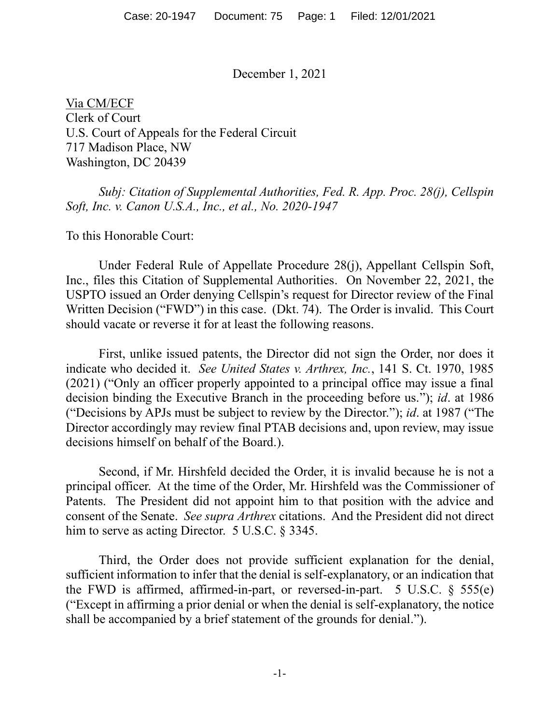December 1, 2021

Via CM/ECF Clerk of Court U.S. Court of Appeals for the Federal Circuit 717 Madison Place, NW Washington, DC 20439

*Subj: Citation of Supplemental Authorities, Fed. R. App. Proc. 28(j), Cellspin Soft, Inc. v. Canon U.S.A., Inc., et al., No. 2020-1947*

To this Honorable Court:

Under Federal Rule of Appellate Procedure 28(j), Appellant Cellspin Soft, Inc., files this Citation of Supplemental Authorities. On November 22, 2021, the USPTO issued an Order denying Cellspin's request for Director review of the Final Written Decision ("FWD") in this case. (Dkt. 74). The Order is invalid. This Court should vacate or reverse it for at least the following reasons.

First, unlike issued patents, the Director did not sign the Order, nor does it indicate who decided it. *See United States v. Arthrex, Inc.*, 141 S. Ct. 1970, 1985 (2021) ("Only an officer properly appointed to a principal office may issue a final decision binding the Executive Branch in the proceeding before us."); *id*. at 1986 ("Decisions by APJs must be subject to review by the Director."); *id*. at 1987 ("The Director accordingly may review final PTAB decisions and, upon review, may issue decisions himself on behalf of the Board.).

Second, if Mr. Hirshfeld decided the Order, it is invalid because he is not a principal officer. At the time of the Order, Mr. Hirshfeld was the Commissioner of Patents. The President did not appoint him to that position with the advice and consent of the Senate. *See supra Arthrex* citations. And the President did not direct him to serve as acting Director. 5 U.S.C. § 3345.

Third, the Order does not provide sufficient explanation for the denial, sufficient information to infer that the denial is self-explanatory, or an indication that the FWD is affirmed, affirmed-in-part, or reversed-in-part. 5 U.S.C.  $\S$  555(e) ("Except in affirming a prior denial or when the denial is self-explanatory, the notice shall be accompanied by a brief statement of the grounds for denial.").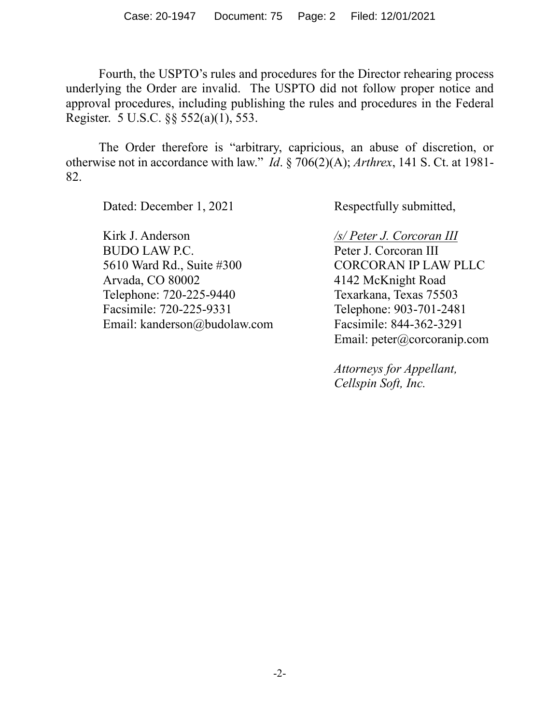Fourth, the USPTO's rules and procedures for the Director rehearing process underlying the Order are invalid. The USPTO did not follow proper notice and approval procedures, including publishing the rules and procedures in the Federal Register. 5 U.S.C. §§ 552(a)(1), 553.

The Order therefore is "arbitrary, capricious, an abuse of discretion, or otherwise not in accordance with law." *Id*. § 706(2)(A); *Arthrex*, 141 S. Ct. at 1981- 82.

Dated: December 1, 2021

Kirk J. Anderson BUDO LAW P.C. 5610 Ward Rd., Suite #300 Arvada, CO 80002 Telephone: 720-225-9440 Facsimile: 720-225-9331 Email: kanderson@budolaw.com Respectfully submitted,

*/s/ Peter J. Corcoran III* Peter J. Corcoran III CORCORAN IP LAW PLLC 4142 McKnight Road Texarkana, Texas 75503 Telephone: 903-701-2481 Facsimile: 844-362-3291 Email: peter@corcoranip.com

*Attorneys for Appellant, Cellspin Soft, Inc.*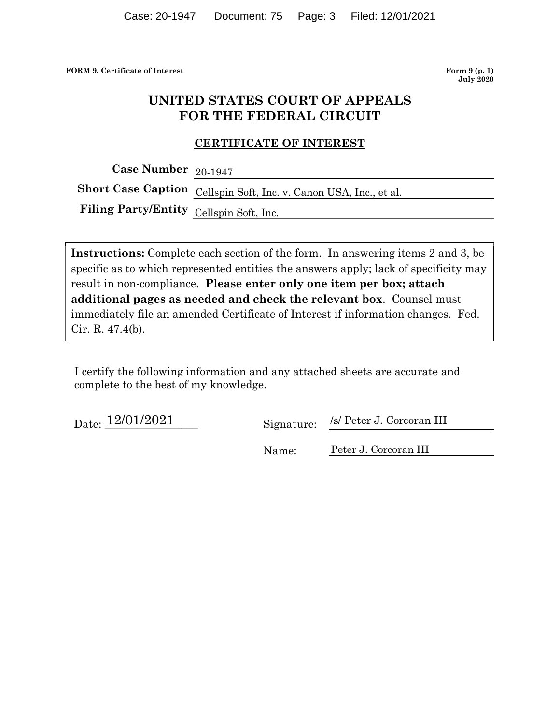FORM 9. Certificate of Interest Form 9 (p. 1)

July 2020

# UNITED STATES COURT OF APPEALS FOR THE FEDERAL CIRCUIT

### CERTIFICATE OF INTEREST

Case Number 20-1947

Short Case Caption Cellspin Soft, Inc. v. Canon USA, Inc., et al.

Filing Party/Entity Cellspin Soft, Inc.

Instructions: Complete each section of the form. In answering items 2 and 3, be specific as to which represented entities the answers apply; lack of specificity may result in non-compliance. Please enter only one item per box; attach **EXECUTE STATES COURT OF APPEALS**<br>
FOR THE FEDERAL CIRCUIT<br>
CERTIFICATE OF INTEREST<br>
Case Number 20-1947<br>
Case Number 20-1947<br>
Short Case Caption  $\frac{1}{\text{Cellspin Soft, Inc. v.ظ}$ . Canon USA, Inc., et al.<br>
Filing Party/Entity  $\frac{1}{\text$ immediately file an amended Certificate of Interest if information changes. Fed. Cir. R. 47.4(b).

I certify the following information and any attached sheets are accurate and complete to the best of my knowledge.

Date:  $\frac{12/01/2021}{20}$  Signature:

/s/ Peter J. Corcoran III

Name: Peter J. Corcoran III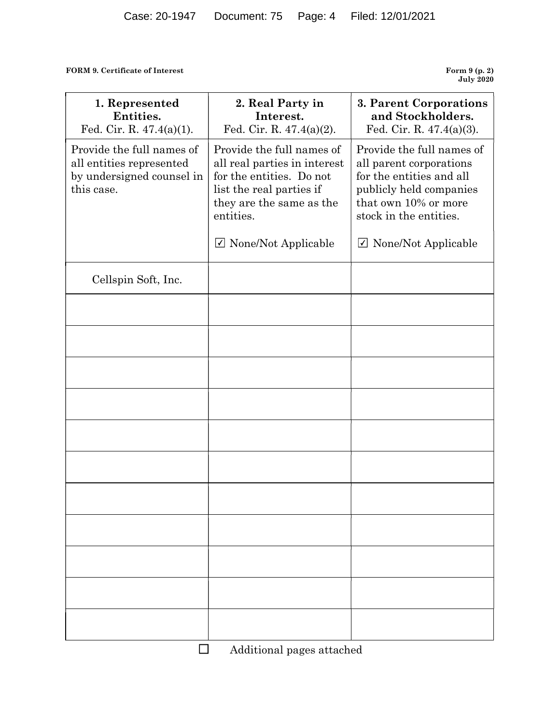| FORM 9. Certificate of Interest                                                                  |                                                                                                                                                            | Form 9 (p. 2)                                                                                                                                                 |
|--------------------------------------------------------------------------------------------------|------------------------------------------------------------------------------------------------------------------------------------------------------------|---------------------------------------------------------------------------------------------------------------------------------------------------------------|
|                                                                                                  |                                                                                                                                                            | <b>July 2020</b>                                                                                                                                              |
| 1. Represented<br>Entities.<br>Fed. Cir. R. $47.4(a)(1)$ .                                       | 2. Real Party in<br>Interest.<br>Fed. Cir. R. $47.4(a)(2)$ .                                                                                               | 3. Parent Corporations<br>and Stockholders.<br>Fed. Cir. R. $47.4(a)(3)$ .                                                                                    |
| Provide the full names of<br>all entities represented<br>by undersigned counsel in<br>this case. | Provide the full names of<br>all real parties in interest<br>for the entities. Do not<br>list the real parties if<br>they are the same as the<br>entities. | Provide the full names of<br>all parent corporations<br>for the entities and all<br>publicly held companies<br>that own 10% or more<br>stock in the entities. |
|                                                                                                  | $\triangledown$ None/Not Applicable                                                                                                                        | $\triangledown$ None/Not Applicable                                                                                                                           |
| Cellspin Soft, Inc.                                                                              |                                                                                                                                                            |                                                                                                                                                               |
|                                                                                                  |                                                                                                                                                            |                                                                                                                                                               |
|                                                                                                  |                                                                                                                                                            |                                                                                                                                                               |
|                                                                                                  |                                                                                                                                                            |                                                                                                                                                               |
|                                                                                                  |                                                                                                                                                            |                                                                                                                                                               |
|                                                                                                  |                                                                                                                                                            |                                                                                                                                                               |
|                                                                                                  |                                                                                                                                                            |                                                                                                                                                               |
|                                                                                                  |                                                                                                                                                            |                                                                                                                                                               |
|                                                                                                  |                                                                                                                                                            |                                                                                                                                                               |
|                                                                                                  |                                                                                                                                                            |                                                                                                                                                               |
|                                                                                                  |                                                                                                                                                            |                                                                                                                                                               |
|                                                                                                  |                                                                                                                                                            |                                                                                                                                                               |

Additional pages attached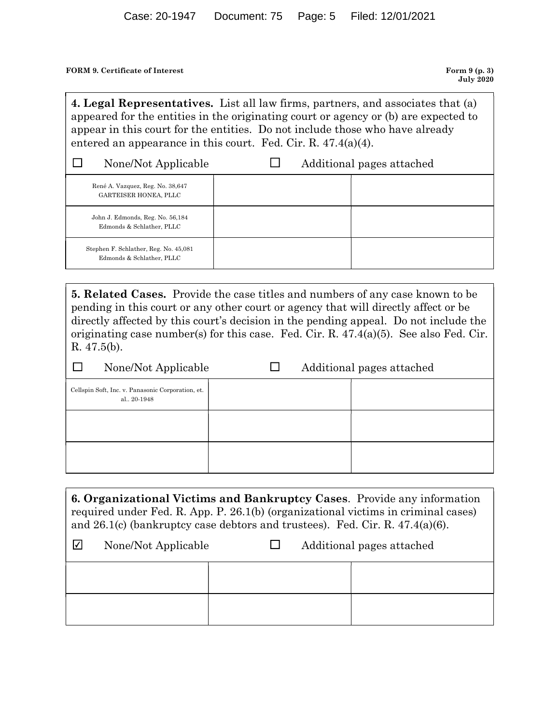### FORM 9. Certificate of Interest Form 9 (p. 3)

Case: 20-1947 Document: 75 Page: 5 Filed: 12/01/2021<br>
ORM 9. Certificate of Interest<br> **4. Legal Representatives.** List all law firms, partners, and associates that (a)<br>
appeared for the entities in the originating court o appeared for the entities in the originating court or agency or (b) are expected to appear in this court for the entities. Do not include those who have already entered an appearance in this court. Fed. Cir. R. 47.4(a)(4).

| Case: 20-1947                                                                                                                                                                                                                                                                                                                                                                                                                                                                      | Document: 75 | Page: 5 | Filed: 12/01/2021         |                                    |
|------------------------------------------------------------------------------------------------------------------------------------------------------------------------------------------------------------------------------------------------------------------------------------------------------------------------------------------------------------------------------------------------------------------------------------------------------------------------------------|--------------|---------|---------------------------|------------------------------------|
| <b>FORM 9. Certificate of Interest</b>                                                                                                                                                                                                                                                                                                                                                                                                                                             |              |         |                           | Form $9(p. 3)$<br><b>July 2020</b> |
| 4. Legal Representatives. List all law firms, partners, and associates that (a)<br>appeared for the entities in the originating court or agency or (b) are expected to<br>appear in this court for the entities. Do not include those who have already<br>entered an appearance in this court. Fed. Cir. R. $47.4(a)(4)$ .                                                                                                                                                         |              |         |                           |                                    |
| None/Not Applicable                                                                                                                                                                                                                                                                                                                                                                                                                                                                | ப            |         | Additional pages attached |                                    |
| René A. Vazquez, Reg. No. 38,647<br>GARTEISER HONEA, PLLC                                                                                                                                                                                                                                                                                                                                                                                                                          |              |         |                           |                                    |
| John J. Edmonds, Reg. No. 56,184<br>Edmonds & Schlather, PLLC                                                                                                                                                                                                                                                                                                                                                                                                                      |              |         |                           |                                    |
| Stephen F. Schlather, Reg. No. 45,081<br>Edmonds & Schlather, PLLC                                                                                                                                                                                                                                                                                                                                                                                                                 |              |         |                           |                                    |
| <b>5. Related Cases.</b> Provide the case titles and numbers of any case known to be<br>pending in this court or any other court or agency that will directly affect or be<br>directly affected by this court's decision in the pending appeal. Do not include the<br>originating case number(s) for this case. Fed. Cir. R. $47.4(a)(5)$ . See also Fed. Cir.<br>R.47.5(b).<br>$\Box$<br>None/Not Applicable<br>Cellspin Soft, Inc. v. Panasonic Corporation, et.<br>al., 20-1948 | $\Box$       |         | Additional pages attached |                                    |

| Edmonds & Schlather, PLLC                                         |                                                                                                                                                                                                                                                                                                                                                                |                           |  |
|-------------------------------------------------------------------|----------------------------------------------------------------------------------------------------------------------------------------------------------------------------------------------------------------------------------------------------------------------------------------------------------------------------------------------------------------|---------------------------|--|
|                                                                   |                                                                                                                                                                                                                                                                                                                                                                |                           |  |
| R. $47.5(b)$ .                                                    | <b>5. Related Cases.</b> Provide the case titles and numbers of any case known to be<br>pending in this court or any other court or agency that will directly affect or be<br>directly affected by this court's decision in the pending appeal. Do not include the<br>originating case number(s) for this case. Fed. Cir. R. $47.4(a)(5)$ . See also Fed. Cir. |                           |  |
| $\mathcal{L}_{\mathcal{A}}$<br>None/Not Applicable                | ப                                                                                                                                                                                                                                                                                                                                                              | Additional pages attached |  |
| Cellspin Soft, Inc. v. Panasonic Corporation, et.<br>al., 20-1948 |                                                                                                                                                                                                                                                                                                                                                                |                           |  |
|                                                                   |                                                                                                                                                                                                                                                                                                                                                                |                           |  |
|                                                                   |                                                                                                                                                                                                                                                                                                                                                                |                           |  |
|                                                                   |                                                                                                                                                                                                                                                                                                                                                                |                           |  |
|                                                                   | <b>6. Organizational Victims and Bankruptcy Cases.</b> Provide any information<br>required under Fed. R. App. P. 26.1(b) (organizational victims in criminal cases)<br>and $26.1(c)$ (bankruptcy case debtors and trustees). Fed. Cir. R. $47.4(a)(6)$ .                                                                                                       |                           |  |
| $\triangledown$<br>None/Not Applicable                            | $\Box$                                                                                                                                                                                                                                                                                                                                                         | Additional pages attached |  |
|                                                                   |                                                                                                                                                                                                                                                                                                                                                                |                           |  |
|                                                                   |                                                                                                                                                                                                                                                                                                                                                                |                           |  |
|                                                                   |                                                                                                                                                                                                                                                                                                                                                                |                           |  |